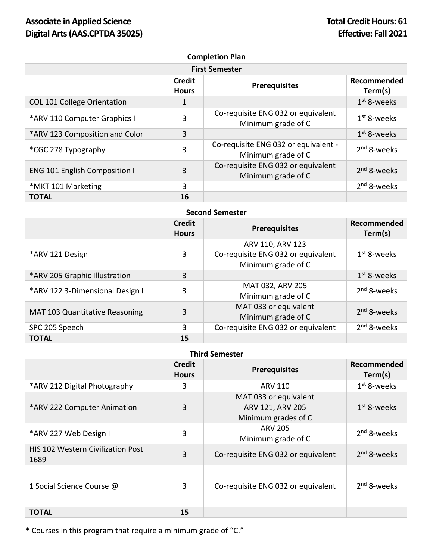| <b>Completion Plan</b><br><b>First Semester</b> |    |                                                            |                         |  |
|-------------------------------------------------|----|------------------------------------------------------------|-------------------------|--|
|                                                 |    |                                                            |                         |  |
| COL 101 College Orientation                     | 1  |                                                            | $1st$ 8-weeks           |  |
| *ARV 110 Computer Graphics I                    | 3  | Co-requisite ENG 032 or equivalent<br>Minimum grade of C   | $1st$ 8-weeks           |  |
| *ARV 123 Composition and Color                  | 3  |                                                            | $1st$ 8-weeks           |  |
| *CGC 278 Typography                             | 3  | Co-requisite ENG 032 or equivalent -<br>Minimum grade of C | $2nd$ 8-weeks           |  |
| <b>ENG 101 English Composition I</b>            | 3  | Co-requisite ENG 032 or equivalent<br>Minimum grade of C   | 2 <sup>nd</sup> 8-weeks |  |
| *MKT 101 Marketing                              | 3  |                                                            | $2nd$ 8-weeks           |  |
| <b>TOTAL</b>                                    | 16 |                                                            |                         |  |

| <b>Second Semester</b>                |                               |                                                                              |                         |  |
|---------------------------------------|-------------------------------|------------------------------------------------------------------------------|-------------------------|--|
|                                       | <b>Credit</b><br><b>Hours</b> | <b>Prerequisites</b>                                                         | Recommended<br>Term(s)  |  |
| *ARV 121 Design                       | 3                             | ARV 110, ARV 123<br>Co-requisite ENG 032 or equivalent<br>Minimum grade of C | $1st$ 8-weeks           |  |
| *ARV 205 Graphic Illustration         | 3                             |                                                                              | $1st$ 8-weeks           |  |
| *ARV 122 3-Dimensional Design I       | 3                             | MAT 032, ARV 205<br>Minimum grade of C                                       | $2nd$ 8-weeks           |  |
| <b>MAT 103 Quantitative Reasoning</b> | 3                             | MAT 033 or equivalent<br>Minimum grade of C                                  | $2nd$ 8-weeks           |  |
| SPC 205 Speech                        | 3                             | Co-requisite ENG 032 or equivalent                                           | 2 <sup>nd</sup> 8-weeks |  |
| <b>TOTAL</b>                          | 15                            |                                                                              |                         |  |

| <b>Third Semester</b> |  |
|-----------------------|--|
|-----------------------|--|

|                                                  | <b>Credit</b><br><b>Hours</b> | <b>Prerequisites</b>                                             | Recommended<br>Term(s) |
|--------------------------------------------------|-------------------------------|------------------------------------------------------------------|------------------------|
| *ARV 212 Digital Photography                     | 3                             | ARV 110                                                          | $1st$ 8-weeks          |
| *ARV 222 Computer Animation                      | 3                             | MAT 033 or equivalent<br>ARV 121, ARV 205<br>Minimum grades of C | $1st$ 8-weeks          |
| *ARV 227 Web Design I                            | 3                             | <b>ARV 205</b><br>Minimum grade of C                             | $2nd$ 8-weeks          |
| <b>HIS 102 Western Civilization Post</b><br>1689 | $\overline{3}$                | Co-requisite ENG 032 or equivalent                               | $2nd$ 8-weeks          |
| 1 Social Science Course @                        | 3                             | Co-requisite ENG 032 or equivalent                               | $2nd$ 8-weeks          |
| <b>TOTAL</b>                                     | 15                            |                                                                  |                        |

\* Courses in this program that require a minimum grade of "C."